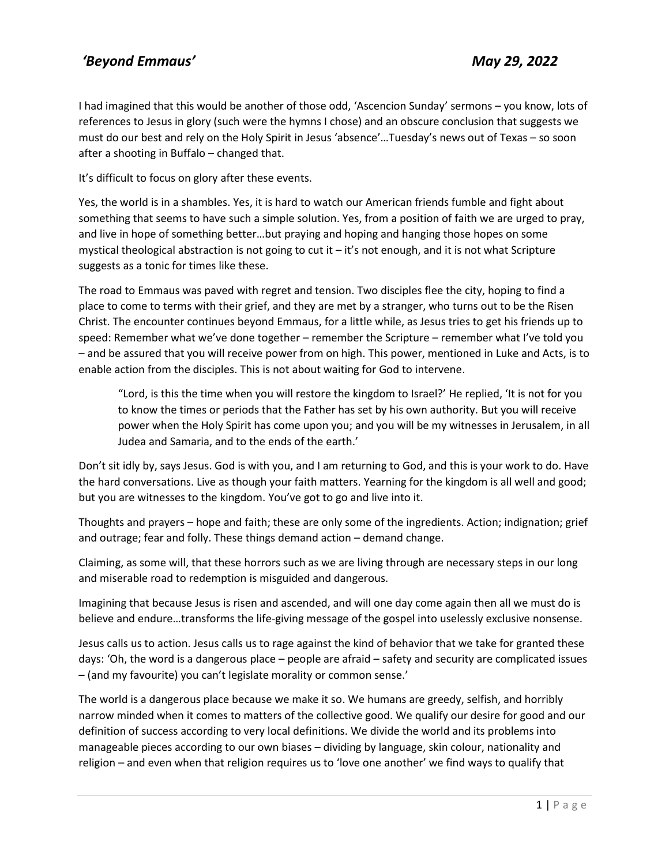I had imagined that this would be another of those odd, 'Ascencion Sunday' sermons – you know, lots of references to Jesus in glory (such were the hymns I chose) and an obscure conclusion that suggests we must do our best and rely on the Holy Spirit in Jesus 'absence'…Tuesday's news out of Texas – so soon after a shooting in Buffalo – changed that.

It's difficult to focus on glory after these events.

Yes, the world is in a shambles. Yes, it is hard to watch our American friends fumble and fight about something that seems to have such a simple solution. Yes, from a position of faith we are urged to pray, and live in hope of something better…but praying and hoping and hanging those hopes on some mystical theological abstraction is not going to cut it – it's not enough, and it is not what Scripture suggests as a tonic for times like these.

The road to Emmaus was paved with regret and tension. Two disciples flee the city, hoping to find a place to come to terms with their grief, and they are met by a stranger, who turns out to be the Risen Christ. The encounter continues beyond Emmaus, for a little while, as Jesus tries to get his friends up to speed: Remember what we've done together – remember the Scripture – remember what I've told you – and be assured that you will receive power from on high. This power, mentioned in Luke and Acts, is to enable action from the disciples. This is not about waiting for God to intervene.

"Lord, is this the time when you will restore the kingdom to Israel?' He replied, 'It is not for you to know the times or periods that the Father has set by his own authority. But you will receive power when the Holy Spirit has come upon you; and you will be my witnesses in Jerusalem, in all Judea and Samaria, and to the ends of the earth.'

Don't sit idly by, says Jesus. God is with you, and I am returning to God, and this is your work to do. Have the hard conversations. Live as though your faith matters. Yearning for the kingdom is all well and good; but you are witnesses to the kingdom. You've got to go and live into it.

Thoughts and prayers – hope and faith; these are only some of the ingredients. Action; indignation; grief and outrage; fear and folly. These things demand action – demand change.

Claiming, as some will, that these horrors such as we are living through are necessary steps in our long and miserable road to redemption is misguided and dangerous.

Imagining that because Jesus is risen and ascended, and will one day come again then all we must do is believe and endure…transforms the life-giving message of the gospel into uselessly exclusive nonsense.

Jesus calls us to action. Jesus calls us to rage against the kind of behavior that we take for granted these days: 'Oh, the word is a dangerous place – people are afraid – safety and security are complicated issues – (and my favourite) you can't legislate morality or common sense.'

The world is a dangerous place because we make it so. We humans are greedy, selfish, and horribly narrow minded when it comes to matters of the collective good. We qualify our desire for good and our definition of success according to very local definitions. We divide the world and its problems into manageable pieces according to our own biases – dividing by language, skin colour, nationality and religion – and even when that religion requires us to 'love one another' we find ways to qualify that